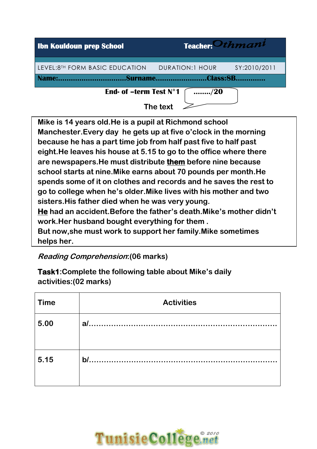

**Mike is 14 years old.He is a pupil at Richmond school Manchester.Every day he gets up at five o'clock in the morning because he has a part time job from half past five to half past eight.He leaves his house at 5.15 to go to the office where there are newspapers.He must distribute them before nine because school starts at nine.Mike earns about 70 pounds per month.He spends some of it on clothes and records and he saves the rest to go to college when he's older.Mike lives with his mother and two sisters.His father died when he was very young. He had an accident.Before the father's death.Mike's mother didn't work.Her husband bought everything for them . But now,she must work to support her family.Mike sometimes helps her.** 

**Reading Comprehension:(06 marks)** 

**Task1:Complete the following table about Mike's daily activities:(02 marks)** 

| <b>Time</b> | <b>Activities</b> |
|-------------|-------------------|
| 5.00        | a                 |
| 5.15        | b/                |

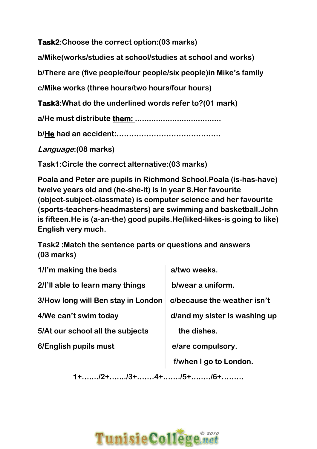**Task2:Choose the correct option:(03 marks)** 

**a/Mike(works/studies at school/studies at school and works)** 

**b/There are (five people/four people/six people)in Mike's family**

**c/Mike works (three hours/two hours/four hours)** 

**Task3:What do the underlined words refer to?(01 mark)** 

**a/He must distribute them: .....................................** 

**b/He had an accident:……………………………………**

**Language:(08 marks)** 

**Task1:Circle the correct alternative:(03 marks)** 

**Poala and Peter are pupils in Richmond School.Poala (is-has-have) twelve years old and (he-she-it) is in year 8.Her favourite (object-subject-classmate) is computer science and her favourite (sports-teachers-headmasters) are swimming and basketball.John is fifteen.He is (a-an-the) good pupils.He(liked-likes-is going to like) English very much.** 

**Task2 :Match the sentence parts or questions and answers (03 marks)** 

| 1/I'm making the beds              | a/two weeks.                  |
|------------------------------------|-------------------------------|
| 2/I'll able to learn many things   | b/wear a uniform.             |
| 3/How long will Ben stay in London | c/because the weather isn't   |
| 4/We can't swim today              | d/and my sister is washing up |
| 5/At our school all the subjects   | the dishes.                   |
| 6/English pupils must              | e/are compulsory.             |
|                                    | f/when I go to London.        |

**1+…..../2+…..../3+….…4+……./5+….…./6+………**

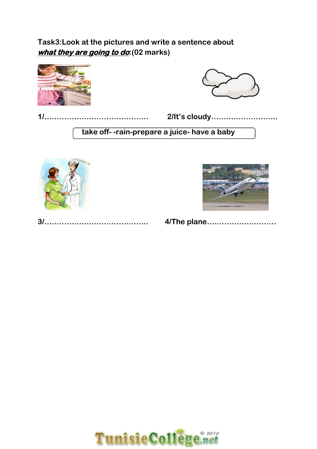## **Task3:Look at the pictures and write a sentence about what they are going to do:(02 marks)**





|--|--|--|--|--|--|--|--|--|--|--|--|--|--|--|--|--|--|--|--|--|--|--|--|--|--|--|--|--|--|--|--|--|--|--|--|--|--|--|--|--|--|--|--|--|--|--|--|--|--|--|--|--|--|--|--|--|

**1/…………………………………… 2/It's cloudy……….……………..**

**take off- -rain-prepare a juice- have a baby** 





|--|--|--|--|--|--|--|--|--|--|--|--|--|--|--|--|--|--|--|--|--|--|--|--|--|--|--|--|--|--|--|--|--|--|--|--|--|--|--|--|--|--|--|--|--|

**3/…………………………………... 4/The plane….……………………**

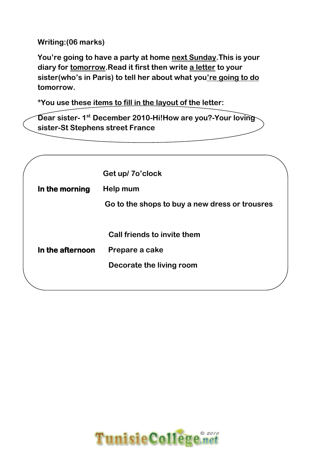**Writing:(06 marks)** 

**You're going to have a party at home next Sunday.This is your diary for tomorrow.Read it first then write a letter to your sister(who's in Paris) to tell her about what you're going to do tomorrow.** 

**\*You use these items to fill in the layout of the letter:** 

**Dear sister- 1st December 2010-Hi!How are you?-Your loving sister-St Stephens street France** 

|                  | Get up/7o'clock                                |
|------------------|------------------------------------------------|
| In the morning   | Help mum                                       |
|                  | Go to the shops to buy a new dress or trousres |
|                  |                                                |
|                  | Call friends to invite them                    |
| In the afternoon | Prepare a cake                                 |
|                  | Decorate the living room                       |
|                  |                                                |